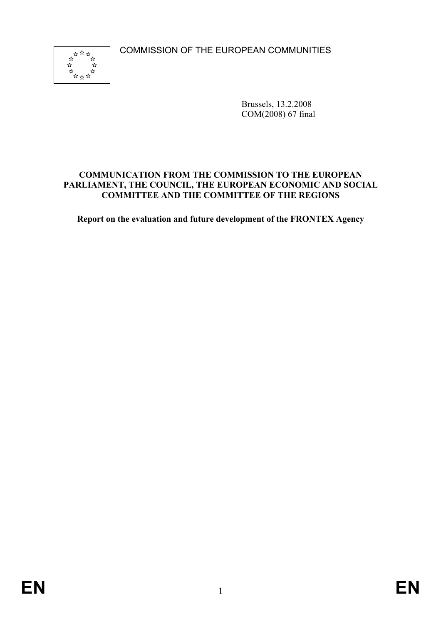COMMISSION OF THE EUROPEAN COMMUNITIES



Brussels, 13.2.2008 COM(2008) 67 final

# **COMMUNICATION FROM THE COMMISSION TO THE EUROPEAN PARLIAMENT, THE COUNCIL, THE EUROPEAN ECONOMIC AND SOCIAL COMMITTEE AND THE COMMITTEE OF THE REGIONS**

**Report on the evaluation and future development of the FRONTEX Agency**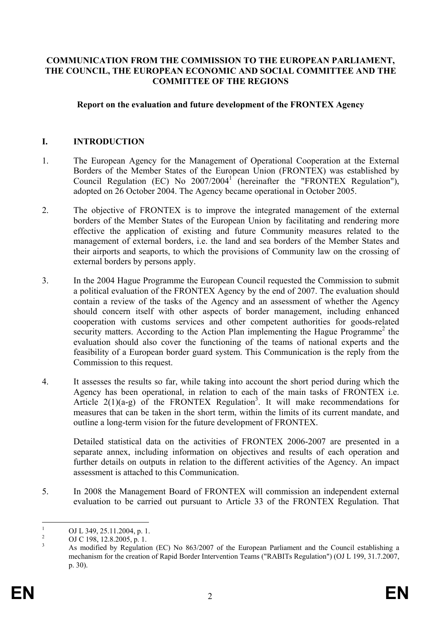### **COMMUNICATION FROM THE COMMISSION TO THE EUROPEAN PARLIAMENT, THE COUNCIL, THE EUROPEAN ECONOMIC AND SOCIAL COMMITTEE AND THE COMMITTEE OF THE REGIONS**

#### **Report on the evaluation and future development of the FRONTEX Agency**

## **I. INTRODUCTION**

- 1. The European Agency for the Management of Operational Cooperation at the External Borders of the Member States of the European Union (FRONTEX) was established by Council Regulation (EC) No  $2007/2004$ <sup>1</sup> (hereinafter the "FRONTEX Regulation"), adopted on 26 October 2004. The Agency became operational in October 2005.
- 2. The objective of FRONTEX is to improve the integrated management of the external borders of the Member States of the European Union by facilitating and rendering more effective the application of existing and future Community measures related to the management of external borders, i.e. the land and sea borders of the Member States and their airports and seaports, to which the provisions of Community law on the crossing of external borders by persons apply.
- 3. In the 2004 Hague Programme the European Council requested the Commission to submit a political evaluation of the FRONTEX Agency by the end of 2007. The evaluation should contain a review of the tasks of the Agency and an assessment of whether the Agency should concern itself with other aspects of border management, including enhanced cooperation with customs services and other competent authorities for goods-related security matters. According to the Action Plan implementing the Hague Programme<sup>2</sup> the evaluation should also cover the functioning of the teams of national experts and the feasibility of a European border guard system. This Communication is the reply from the Commission to this request.
- 4. It assesses the results so far, while taking into account the short period during which the Agency has been operational, in relation to each of the main tasks of FRONTEX i.e. Article  $2(1)(a-g)$  of the FRONTEX Regulation<sup>3</sup>. It will make recommendations for measures that can be taken in the short term, within the limits of its current mandate, and outline a long-term vision for the future development of FRONTEX.

Detailed statistical data on the activities of FRONTEX 2006-2007 are presented in a separate annex, including information on objectives and results of each operation and further details on outputs in relation to the different activities of the Agency. An impact assessment is attached to this Communication.

5. In 2008 the Management Board of FRONTEX will commission an independent external evaluation to be carried out pursuant to Article 33 of the FRONTEX Regulation. That

 $\frac{1}{1}$  OJ L 349, 25.11.2004, p. 1. 2

OJ C 198, 12.8.2005, p. 1. 3

As modified by Regulation (EC) No 863/2007 of the European Parliament and the Council establishing a mechanism for the creation of Rapid Border Intervention Teams ("RABITs Regulation") (OJ L 199, 31.7.2007, p. 30).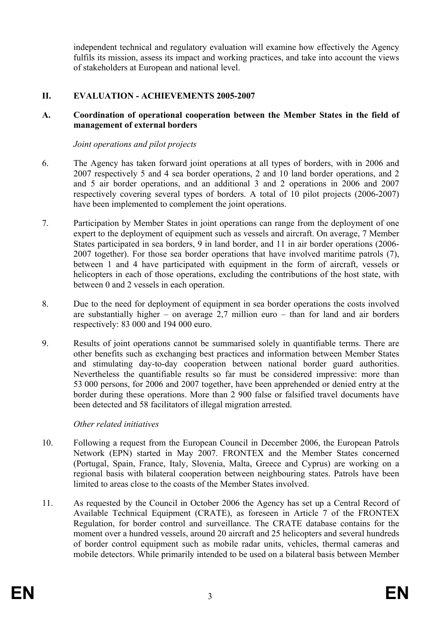independent technical and regulatory evaluation will examine how effectively the Agency fulfils its mission, assess its impact and working practices, and take into account the views of stakeholders at European and national level.

# **II. EVALUATION - ACHIEVEMENTS 2005-2007**

## **A. Coordination of operational cooperation between the Member States in the field of management of external borders**

*Joint operations and pilot projects* 

- 6. The Agency has taken forward joint operations at all types of borders, with in 2006 and 2007 respectively 5 and 4 sea border operations, 2 and 10 land border operations, and 2 and 5 air border operations, and an additional 3 and 2 operations in 2006 and 2007 respectively covering several types of borders. A total of 10 pilot projects (2006-2007) have been implemented to complement the joint operations.
- 7. Participation by Member States in joint operations can range from the deployment of one expert to the deployment of equipment such as vessels and aircraft. On average, 7 Member States participated in sea borders, 9 in land border, and 11 in air border operations (2006- 2007 together). For those sea border operations that have involved maritime patrols (7), between 1 and 4 have participated with equipment in the form of aircraft, vessels or helicopters in each of those operations, excluding the contributions of the host state, with between 0 and 2 vessels in each operation.
- 8. Due to the need for deployment of equipment in sea border operations the costs involved are substantially higher – on average 2,7 million euro – than for land and air borders respectively: 83 000 and 194 000 euro.
- 9. Results of joint operations cannot be summarised solely in quantifiable terms. There are other benefits such as exchanging best practices and information between Member States and stimulating day-to-day cooperation between national border guard authorities. Nevertheless the quantifiable results so far must be considered impressive: more than 53 000 persons, for 2006 and 2007 together, have been apprehended or denied entry at the border during these operations. More than 2 900 false or falsified travel documents have been detected and 58 facilitators of illegal migration arrested.

### *Other related initiatives*

- 10. Following a request from the European Council in December 2006, the European Patrols Network (EPN) started in May 2007. FRONTEX and the Member States concerned (Portugal, Spain, France, Italy, Slovenia, Malta, Greece and Cyprus) are working on a regional basis with bilateral cooperation between neighbouring states. Patrols have been limited to areas close to the coasts of the Member States involved.
- 11. As requested by the Council in October 2006 the Agency has set up a Central Record of Available Technical Equipment (CRATE), as foreseen in Article 7 of the FRONTEX Regulation, for border control and surveillance. The CRATE database contains for the moment over a hundred vessels, around 20 aircraft and 25 helicopters and several hundreds of border control equipment such as mobile radar units, vehicles, thermal cameras and mobile detectors. While primarily intended to be used on a bilateral basis between Member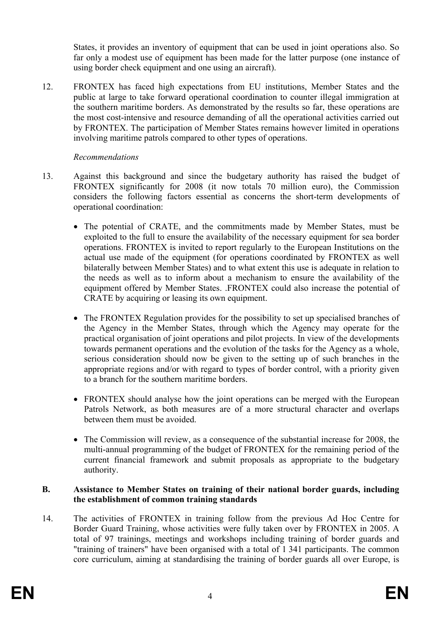States, it provides an inventory of equipment that can be used in joint operations also. So far only a modest use of equipment has been made for the latter purpose (one instance of using border check equipment and one using an aircraft).

12. FRONTEX has faced high expectations from EU institutions, Member States and the public at large to take forward operational coordination to counter illegal immigration at the southern maritime borders. As demonstrated by the results so far, these operations are the most cost-intensive and resource demanding of all the operational activities carried out by FRONTEX. The participation of Member States remains however limited in operations involving maritime patrols compared to other types of operations.

## *Recommendations*

- 13. Against this background and since the budgetary authority has raised the budget of FRONTEX significantly for 2008 (it now totals 70 million euro), the Commission considers the following factors essential as concerns the short-term developments of operational coordination:
	- The potential of CRATE, and the commitments made by Member States, must be exploited to the full to ensure the availability of the necessary equipment for sea border operations. FRONTEX is invited to report regularly to the European Institutions on the actual use made of the equipment (for operations coordinated by FRONTEX as well bilaterally between Member States) and to what extent this use is adequate in relation to the needs as well as to inform about a mechanism to ensure the availability of the equipment offered by Member States. .FRONTEX could also increase the potential of CRATE by acquiring or leasing its own equipment.
	- The FRONTEX Regulation provides for the possibility to set up specialised branches of the Agency in the Member States, through which the Agency may operate for the practical organisation of joint operations and pilot projects. In view of the developments towards permanent operations and the evolution of the tasks for the Agency as a whole, serious consideration should now be given to the setting up of such branches in the appropriate regions and/or with regard to types of border control, with a priority given to a branch for the southern maritime borders.
	- FRONTEX should analyse how the joint operations can be merged with the European Patrols Network, as both measures are of a more structural character and overlaps between them must be avoided.
	- The Commission will review, as a consequence of the substantial increase for 2008, the multi-annual programming of the budget of FRONTEX for the remaining period of the current financial framework and submit proposals as appropriate to the budgetary authority.

#### **B. Assistance to Member States on training of their national border guards, including the establishment of common training standards**

14. The activities of FRONTEX in training follow from the previous Ad Hoc Centre for Border Guard Training, whose activities were fully taken over by FRONTEX in 2005. A total of 97 trainings, meetings and workshops including training of border guards and "training of trainers" have been organised with a total of 1 341 participants. The common core curriculum, aiming at standardising the training of border guards all over Europe, is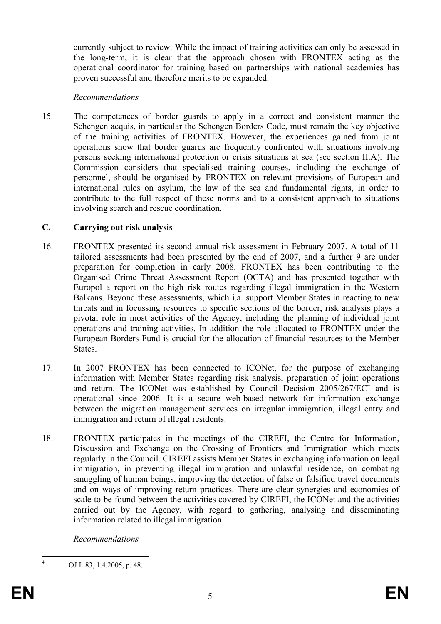currently subject to review. While the impact of training activities can only be assessed in the long-term, it is clear that the approach chosen with FRONTEX acting as the operational coordinator for training based on partnerships with national academies has proven successful and therefore merits to be expanded.

#### *Recommendations*

15. The competences of border guards to apply in a correct and consistent manner the Schengen acquis, in particular the Schengen Borders Code, must remain the key objective of the training activities of FRONTEX. However, the experiences gained from joint operations show that border guards are frequently confronted with situations involving persons seeking international protection or crisis situations at sea (see section II.A). The Commission considers that specialised training courses, including the exchange of personnel, should be organised by FRONTEX on relevant provisions of European and international rules on asylum, the law of the sea and fundamental rights, in order to contribute to the full respect of these norms and to a consistent approach to situations involving search and rescue coordination.

### **C. Carrying out risk analysis**

- 16. FRONTEX presented its second annual risk assessment in February 2007. A total of 11 tailored assessments had been presented by the end of 2007, and a further 9 are under preparation for completion in early 2008. FRONTEX has been contributing to the Organised Crime Threat Assessment Report (OCTA) and has presented together with Europol a report on the high risk routes regarding illegal immigration in the Western Balkans. Beyond these assessments, which i.a. support Member States in reacting to new threats and in focussing resources to specific sections of the border, risk analysis plays a pivotal role in most activities of the Agency, including the planning of individual joint operations and training activities. In addition the role allocated to FRONTEX under the European Borders Fund is crucial for the allocation of financial resources to the Member States.
- 17. In 2007 FRONTEX has been connected to ICONet, for the purpose of exchanging information with Member States regarding risk analysis, preparation of joint operations and return. The ICONet was established by Council Decision  $2005/267/EC^4$  and is operational since 2006. It is a secure web-based network for information exchange between the migration management services on irregular immigration, illegal entry and immigration and return of illegal residents.
- 18. FRONTEX participates in the meetings of the CIREFI, the Centre for Information, Discussion and Exchange on the Crossing of Frontiers and Immigration which meets regularly in the Council. CIREFI assists Member States in exchanging information on legal immigration, in preventing illegal immigration and unlawful residence, on combating smuggling of human beings, improving the detection of false or falsified travel documents and on ways of improving return practices. There are clear synergies and economies of scale to be found between the activities covered by CIREFI, the ICONet and the activities carried out by the Agency, with regard to gathering, analysing and disseminating information related to illegal immigration.

*Recommendations* 

 $\frac{1}{4}$ OJ L 83, 1.4.2005, p. 48.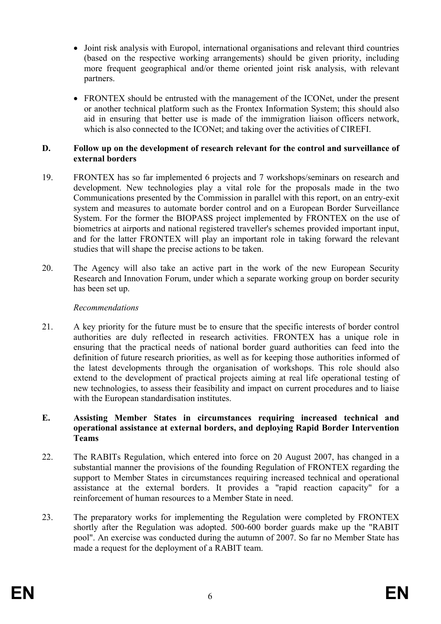- Joint risk analysis with Europol, international organisations and relevant third countries (based on the respective working arrangements) should be given priority, including more frequent geographical and/or theme oriented joint risk analysis, with relevant partners.
- FRONTEX should be entrusted with the management of the ICONet, under the present or another technical platform such as the Frontex Information System; this should also aid in ensuring that better use is made of the immigration liaison officers network, which is also connected to the ICONet; and taking over the activities of CIREFI.

### **D. Follow up on the development of research relevant for the control and surveillance of external borders**

- 19. FRONTEX has so far implemented 6 projects and 7 workshops/seminars on research and development. New technologies play a vital role for the proposals made in the two Communications presented by the Commission in parallel with this report, on an entry-exit system and measures to automate border control and on a European Border Surveillance System. For the former the BIOPASS project implemented by FRONTEX on the use of biometrics at airports and national registered traveller's schemes provided important input, and for the latter FRONTEX will play an important role in taking forward the relevant studies that will shape the precise actions to be taken.
- 20. The Agency will also take an active part in the work of the new European Security Research and Innovation Forum, under which a separate working group on border security has been set up.

## *Recommendations*

21. A key priority for the future must be to ensure that the specific interests of border control authorities are duly reflected in research activities. FRONTEX has a unique role in ensuring that the practical needs of national border guard authorities can feed into the definition of future research priorities, as well as for keeping those authorities informed of the latest developments through the organisation of workshops. This role should also extend to the development of practical projects aiming at real life operational testing of new technologies, to assess their feasibility and impact on current procedures and to liaise with the European standardisation institutes.

## **E. Assisting Member States in circumstances requiring increased technical and operational assistance at external borders, and deploying Rapid Border Intervention Teams**

- 22. The RABITs Regulation, which entered into force on 20 August 2007, has changed in a substantial manner the provisions of the founding Regulation of FRONTEX regarding the support to Member States in circumstances requiring increased technical and operational assistance at the external borders. It provides a "rapid reaction capacity" for a reinforcement of human resources to a Member State in need.
- 23. The preparatory works for implementing the Regulation were completed by FRONTEX shortly after the Regulation was adopted. 500-600 border guards make up the "RABIT pool". An exercise was conducted during the autumn of 2007. So far no Member State has made a request for the deployment of a RABIT team.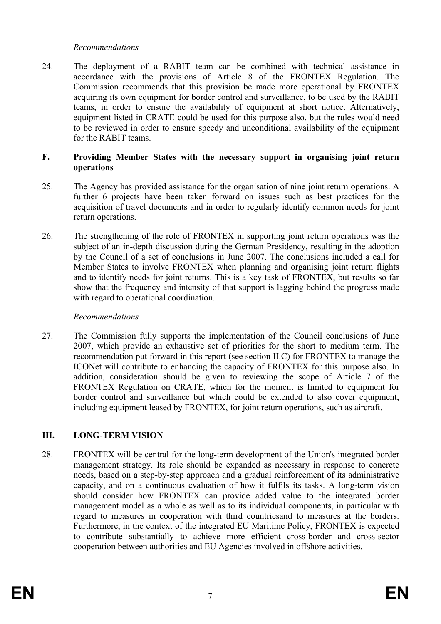## *Recommendations*

24. The deployment of a RABIT team can be combined with technical assistance in accordance with the provisions of Article 8 of the FRONTEX Regulation. The Commission recommends that this provision be made more operational by FRONTEX acquiring its own equipment for border control and surveillance, to be used by the RABIT teams, in order to ensure the availability of equipment at short notice. Alternatively, equipment listed in CRATE could be used for this purpose also, but the rules would need to be reviewed in order to ensure speedy and unconditional availability of the equipment for the RABIT teams.

## **F. Providing Member States with the necessary support in organising joint return operations**

- 25. The Agency has provided assistance for the organisation of nine joint return operations. A further 6 projects have been taken forward on issues such as best practices for the acquisition of travel documents and in order to regularly identify common needs for joint return operations.
- 26. The strengthening of the role of FRONTEX in supporting joint return operations was the subject of an in-depth discussion during the German Presidency, resulting in the adoption by the Council of a set of conclusions in June 2007. The conclusions included a call for Member States to involve FRONTEX when planning and organising joint return flights and to identify needs for joint returns. This is a key task of FRONTEX, but results so far show that the frequency and intensity of that support is lagging behind the progress made with regard to operational coordination.

### *Recommendations*

27. The Commission fully supports the implementation of the Council conclusions of June 2007, which provide an exhaustive set of priorities for the short to medium term. The recommendation put forward in this report (see section II.C) for FRONTEX to manage the ICONet will contribute to enhancing the capacity of FRONTEX for this purpose also. In addition, consideration should be given to reviewing the scope of Article 7 of the FRONTEX Regulation on CRATE, which for the moment is limited to equipment for border control and surveillance but which could be extended to also cover equipment, including equipment leased by FRONTEX, for joint return operations, such as aircraft.

# **III. LONG-TERM VISION**

28. FRONTEX will be central for the long-term development of the Union's integrated border management strategy. Its role should be expanded as necessary in response to concrete needs, based on a step-by-step approach and a gradual reinforcement of its administrative capacity, and on a continuous evaluation of how it fulfils its tasks. A long-term vision should consider how FRONTEX can provide added value to the integrated border management model as a whole as well as to its individual components, in particular with regard to measures in cooperation with third countriesand to measures at the borders. Furthermore, in the context of the integrated EU Maritime Policy, FRONTEX is expected to contribute substantially to achieve more efficient cross-border and cross-sector cooperation between authorities and EU Agencies involved in offshore activities.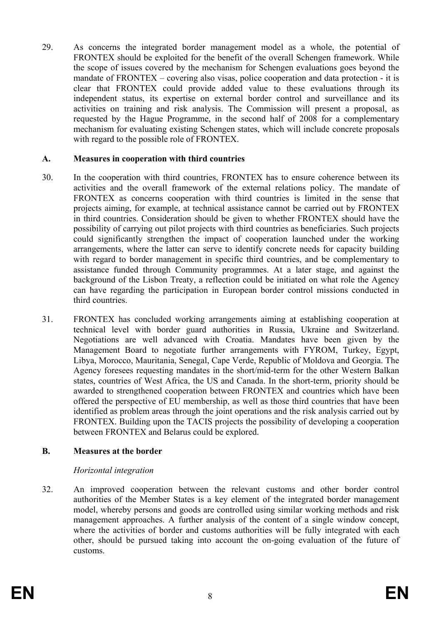29. As concerns the integrated border management model as a whole, the potential of FRONTEX should be exploited for the benefit of the overall Schengen framework. While the scope of issues covered by the mechanism for Schengen evaluations goes beyond the mandate of FRONTEX – covering also visas, police cooperation and data protection - it is clear that FRONTEX could provide added value to these evaluations through its independent status, its expertise on external border control and surveillance and its activities on training and risk analysis. The Commission will present a proposal, as requested by the Hague Programme, in the second half of 2008 for a complementary mechanism for evaluating existing Schengen states, which will include concrete proposals with regard to the possible role of FRONTEX.

## **A. Measures in cooperation with third countries**

- 30. In the cooperation with third countries, FRONTEX has to ensure coherence between its activities and the overall framework of the external relations policy. The mandate of FRONTEX as concerns cooperation with third countries is limited in the sense that projects aiming, for example, at technical assistance cannot be carried out by FRONTEX in third countries. Consideration should be given to whether FRONTEX should have the possibility of carrying out pilot projects with third countries as beneficiaries. Such projects could significantly strengthen the impact of cooperation launched under the working arrangements, where the latter can serve to identify concrete needs for capacity building with regard to border management in specific third countries, and be complementary to assistance funded through Community programmes. At a later stage, and against the background of the Lisbon Treaty, a reflection could be initiated on what role the Agency can have regarding the participation in European border control missions conducted in third countries.
- 31. FRONTEX has concluded working arrangements aiming at establishing cooperation at technical level with border guard authorities in Russia, Ukraine and Switzerland. Negotiations are well advanced with Croatia. Mandates have been given by the Management Board to negotiate further arrangements with FYROM, Turkey, Egypt, Libya, Morocco, Mauritania, Senegal, Cape Verde, Republic of Moldova and Georgia. The Agency foresees requesting mandates in the short/mid-term for the other Western Balkan states, countries of West Africa, the US and Canada. In the short-term, priority should be awarded to strengthened cooperation between FRONTEX and countries which have been offered the perspective of EU membership, as well as those third countries that have been identified as problem areas through the joint operations and the risk analysis carried out by FRONTEX. Building upon the TACIS projects the possibility of developing a cooperation between FRONTEX and Belarus could be explored.

# **B. Measures at the border**

### *Horizontal integration*

32. An improved cooperation between the relevant customs and other border control authorities of the Member States is a key element of the integrated border management model, whereby persons and goods are controlled using similar working methods and risk management approaches. A further analysis of the content of a single window concept, where the activities of border and customs authorities will be fully integrated with each other, should be pursued taking into account the on-going evaluation of the future of customs.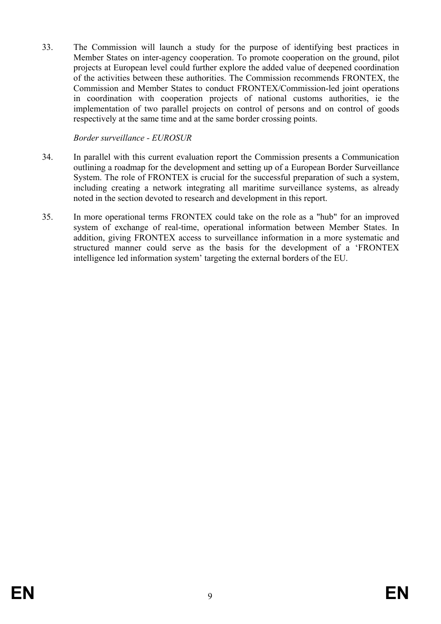33. The Commission will launch a study for the purpose of identifying best practices in Member States on inter-agency cooperation. To promote cooperation on the ground, pilot projects at European level could further explore the added value of deepened coordination of the activities between these authorities. The Commission recommends FRONTEX, the Commission and Member States to conduct FRONTEX/Commission-led joint operations in coordination with cooperation projects of national customs authorities, ie the implementation of two parallel projects on control of persons and on control of goods respectively at the same time and at the same border crossing points.

*Border surveillance - EUROSUR* 

- 34. In parallel with this current evaluation report the Commission presents a Communication outlining a roadmap for the development and setting up of a European Border Surveillance System. The role of FRONTEX is crucial for the successful preparation of such a system, including creating a network integrating all maritime surveillance systems, as already noted in the section devoted to research and development in this report.
- 35. In more operational terms FRONTEX could take on the role as a "hub" for an improved system of exchange of real-time, operational information between Member States. In addition, giving FRONTEX access to surveillance information in a more systematic and structured manner could serve as the basis for the development of a 'FRONTEX intelligence led information system' targeting the external borders of the EU.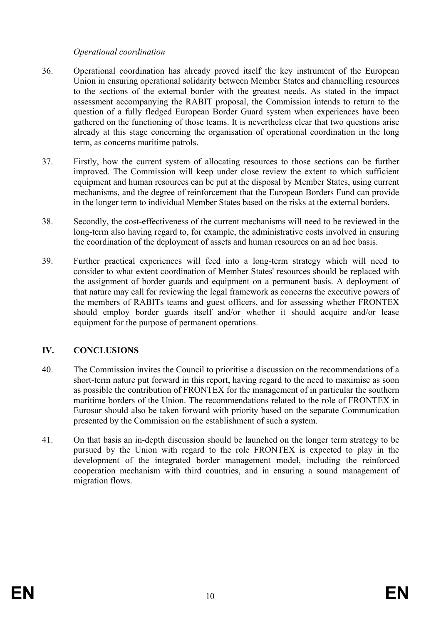## *Operational coordination*

- 36. Operational coordination has already proved itself the key instrument of the European Union in ensuring operational solidarity between Member States and channelling resources to the sections of the external border with the greatest needs. As stated in the impact assessment accompanying the RABIT proposal, the Commission intends to return to the question of a fully fledged European Border Guard system when experiences have been gathered on the functioning of those teams. It is nevertheless clear that two questions arise already at this stage concerning the organisation of operational coordination in the long term, as concerns maritime patrols.
- 37. Firstly, how the current system of allocating resources to those sections can be further improved. The Commission will keep under close review the extent to which sufficient equipment and human resources can be put at the disposal by Member States, using current mechanisms, and the degree of reinforcement that the European Borders Fund can provide in the longer term to individual Member States based on the risks at the external borders.
- 38. Secondly, the cost-effectiveness of the current mechanisms will need to be reviewed in the long-term also having regard to, for example, the administrative costs involved in ensuring the coordination of the deployment of assets and human resources on an ad hoc basis.
- 39. Further practical experiences will feed into a long-term strategy which will need to consider to what extent coordination of Member States' resources should be replaced with the assignment of border guards and equipment on a permanent basis. A deployment of that nature may call for reviewing the legal framework as concerns the executive powers of the members of RABITs teams and guest officers, and for assessing whether FRONTEX should employ border guards itself and/or whether it should acquire and/or lease equipment for the purpose of permanent operations.

# **IV. CONCLUSIONS**

- 40. The Commission invites the Council to prioritise a discussion on the recommendations of a short-term nature put forward in this report, having regard to the need to maximise as soon as possible the contribution of FRONTEX for the management of in particular the southern maritime borders of the Union. The recommendations related to the role of FRONTEX in Eurosur should also be taken forward with priority based on the separate Communication presented by the Commission on the establishment of such a system.
- 41. On that basis an in-depth discussion should be launched on the longer term strategy to be pursued by the Union with regard to the role FRONTEX is expected to play in the development of the integrated border management model, including the reinforced cooperation mechanism with third countries, and in ensuring a sound management of migration flows.